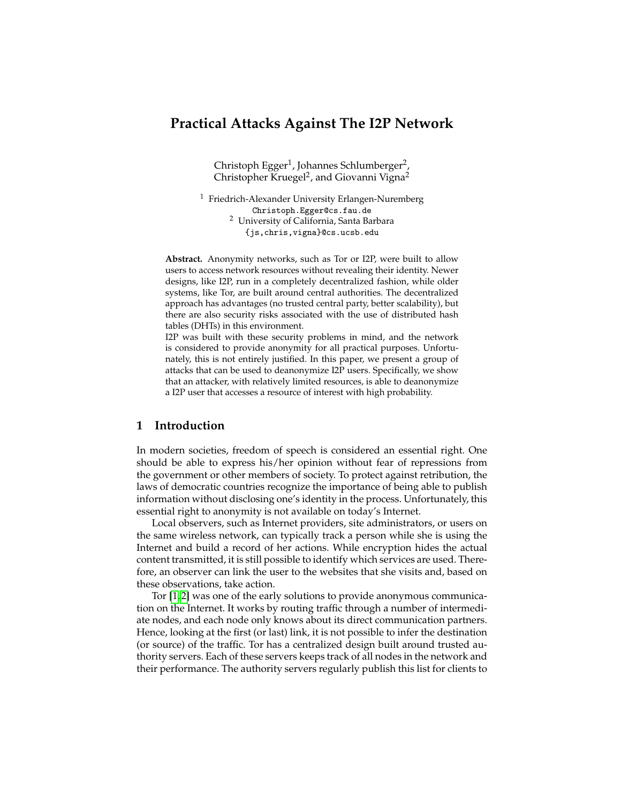# **Practical Attacks Against The I2P Network**

Christoph Egger $^1$ , Johannes Schlumberger $^2$ , Christopher Kruegel<sup>2</sup>, and Giovanni Vigna<sup>2</sup>

<sup>1</sup> Friedrich-Alexander University Erlangen-Nuremberg Christoph.Egger@cs.fau.de <sup>2</sup> University of California, Santa Barbara {js,chris,vigna}@cs.ucsb.edu

**Abstract.** Anonymity networks, such as Tor or I2P, were built to allow users to access network resources without revealing their identity. Newer designs, like I2P, run in a completely decentralized fashion, while older systems, like Tor, are built around central authorities. The decentralized approach has advantages (no trusted central party, better scalability), but there are also security risks associated with the use of distributed hash tables (DHTs) in this environment.

I2P was built with these security problems in mind, and the network is considered to provide anonymity for all practical purposes. Unfortunately, this is not entirely justified. In this paper, we present a group of attacks that can be used to deanonymize I2P users. Specifically, we show that an attacker, with relatively limited resources, is able to deanonymize a I2P user that accesses a resource of interest with high probability.

## **1 Introduction**

In modern societies, freedom of speech is considered an essential right. One should be able to express his/her opinion without fear of repressions from the government or other members of society. To protect against retribution, the laws of democratic countries recognize the importance of being able to publish information without disclosing one's identity in the process. Unfortunately, this essential right to anonymity is not available on today's Internet.

Local observers, such as Internet providers, site administrators, or users on the same wireless network, can typically track a person while she is using the Internet and build a record of her actions. While encryption hides the actual content transmitted, it is still possible to identify which services are used. Therefore, an observer can link the user to the websites that she visits and, based on these observations, take action.

Tor [\[1,](#page-19-0) [2\]](#page-19-1) was one of the early solutions to provide anonymous communication on the Internet. It works by routing traffic through a number of intermediate nodes, and each node only knows about its direct communication partners. Hence, looking at the first (or last) link, it is not possible to infer the destination (or source) of the traffic. Tor has a centralized design built around trusted authority servers. Each of these servers keeps track of all nodes in the network and their performance. The authority servers regularly publish this list for clients to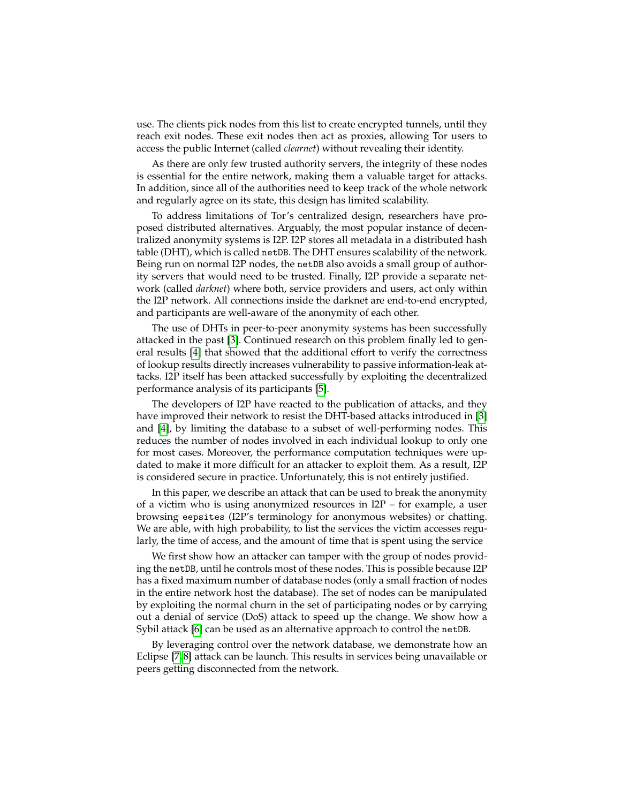use. The clients pick nodes from this list to create encrypted tunnels, until they reach exit nodes. These exit nodes then act as proxies, allowing Tor users to access the public Internet (called *clearnet*) without revealing their identity.

As there are only few trusted authority servers, the integrity of these nodes is essential for the entire network, making them a valuable target for attacks. In addition, since all of the authorities need to keep track of the whole network and regularly agree on its state, this design has limited scalability.

To address limitations of Tor's centralized design, researchers have proposed distributed alternatives. Arguably, the most popular instance of decentralized anonymity systems is I2P. I2P stores all metadata in a distributed hash table (DHT), which is called netDB. The DHT ensures scalability of the network. Being run on normal I2P nodes, the netDB also avoids a small group of authority servers that would need to be trusted. Finally, I2P provide a separate network (called *darknet*) where both, service providers and users, act only within the I2P network. All connections inside the darknet are end-to-end encrypted, and participants are well-aware of the anonymity of each other.

The use of DHTs in peer-to-peer anonymity systems has been successfully attacked in the past [\[3\]](#page-19-2). Continued research on this problem finally led to general results [\[4\]](#page-19-3) that showed that the additional effort to verify the correctness of lookup results directly increases vulnerability to passive information-leak attacks. I2P itself has been attacked successfully by exploiting the decentralized performance analysis of its participants [\[5\]](#page-19-4).

The developers of I2P have reacted to the publication of attacks, and they have improved their network to resist the DHT-based attacks introduced in [\[3\]](#page-19-2) and [\[4\]](#page-19-3), by limiting the database to a subset of well-performing nodes. This reduces the number of nodes involved in each individual lookup to only one for most cases. Moreover, the performance computation techniques were updated to make it more difficult for an attacker to exploit them. As a result, I2P is considered secure in practice. Unfortunately, this is not entirely justified.

In this paper, we describe an attack that can be used to break the anonymity of a victim who is using anonymized resources in I2P – for example, a user browsing eepsites (I2P's terminology for anonymous websites) or chatting. We are able, with high probability, to list the services the victim accesses regularly, the time of access, and the amount of time that is spent using the service

We first show how an attacker can tamper with the group of nodes providing the netDB, until he controls most of these nodes. This is possible because I2P has a fixed maximum number of database nodes (only a small fraction of nodes in the entire network host the database). The set of nodes can be manipulated by exploiting the normal churn in the set of participating nodes or by carrying out a denial of service (DoS) attack to speed up the change. We show how a Sybil attack [\[6\]](#page-19-5) can be used as an alternative approach to control the netDB.

By leveraging control over the network database, we demonstrate how an Eclipse [\[7,](#page-19-6) [8\]](#page-19-7) attack can be launch. This results in services being unavailable or peers getting disconnected from the network.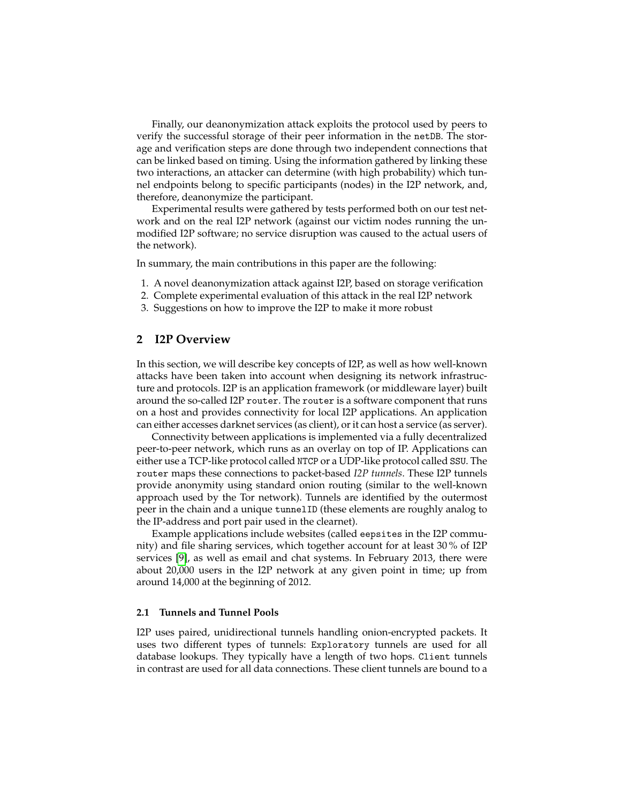Finally, our deanonymization attack exploits the protocol used by peers to verify the successful storage of their peer information in the netDB. The storage and verification steps are done through two independent connections that can be linked based on timing. Using the information gathered by linking these two interactions, an attacker can determine (with high probability) which tunnel endpoints belong to specific participants (nodes) in the I2P network, and, therefore, deanonymize the participant.

Experimental results were gathered by tests performed both on our test network and on the real I2P network (against our victim nodes running the unmodified I2P software; no service disruption was caused to the actual users of the network).

In summary, the main contributions in this paper are the following:

- 1. A novel deanonymization attack against I2P, based on storage verification
- 2. Complete experimental evaluation of this attack in the real I2P network
- 3. Suggestions on how to improve the I2P to make it more robust

## **2 I2P Overview**

In this section, we will describe key concepts of I2P, as well as how well-known attacks have been taken into account when designing its network infrastructure and protocols. I2P is an application framework (or middleware layer) built around the so-called I2P router. The router is a software component that runs on a host and provides connectivity for local I2P applications. An application can either accesses darknet services (as client), or it can host a service (as server).

Connectivity between applications is implemented via a fully decentralized peer-to-peer network, which runs as an overlay on top of IP. Applications can either use a TCP-like protocol called NTCP or a UDP-like protocol called SSU. The router maps these connections to packet-based *I2P tunnels*. These I2P tunnels provide anonymity using standard onion routing (similar to the well-known approach used by the Tor network). Tunnels are identified by the outermost peer in the chain and a unique tunnelID (these elements are roughly analog to the IP-address and port pair used in the clearnet).

Example applications include websites (called eepsites in the I2P community) and file sharing services, which together account for at least 30 % of I2P services [\[9\]](#page-19-8), as well as email and chat systems. In February 2013, there were about 20,000 users in the I2P network at any given point in time; up from around 14,000 at the beginning of 2012.

#### **2.1 Tunnels and Tunnel Pools**

I2P uses paired, unidirectional tunnels handling onion-encrypted packets. It uses two different types of tunnels: Exploratory tunnels are used for all database lookups. They typically have a length of two hops. Client tunnels in contrast are used for all data connections. These client tunnels are bound to a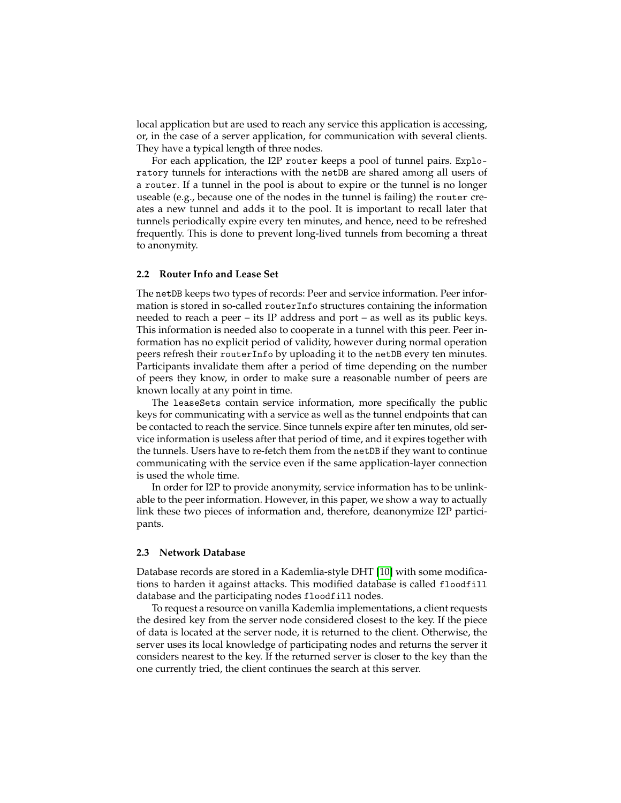local application but are used to reach any service this application is accessing, or, in the case of a server application, for communication with several clients. They have a typical length of three nodes.

For each application, the I2P router keeps a pool of tunnel pairs. Exploratory tunnels for interactions with the netDB are shared among all users of a router. If a tunnel in the pool is about to expire or the tunnel is no longer useable (e.g., because one of the nodes in the tunnel is failing) the router creates a new tunnel and adds it to the pool. It is important to recall later that tunnels periodically expire every ten minutes, and hence, need to be refreshed frequently. This is done to prevent long-lived tunnels from becoming a threat to anonymity.

#### **2.2 Router Info and Lease Set**

The netDB keeps two types of records: Peer and service information. Peer information is stored in so-called routerInfo structures containing the information needed to reach a peer – its IP address and port – as well as its public keys. This information is needed also to cooperate in a tunnel with this peer. Peer information has no explicit period of validity, however during normal operation peers refresh their routerInfo by uploading it to the netDB every ten minutes. Participants invalidate them after a period of time depending on the number of peers they know, in order to make sure a reasonable number of peers are known locally at any point in time.

The leaseSets contain service information, more specifically the public keys for communicating with a service as well as the tunnel endpoints that can be contacted to reach the service. Since tunnels expire after ten minutes, old service information is useless after that period of time, and it expires together with the tunnels. Users have to re-fetch them from the netDB if they want to continue communicating with the service even if the same application-layer connection is used the whole time.

In order for I2P to provide anonymity, service information has to be unlinkable to the peer information. However, in this paper, we show a way to actually link these two pieces of information and, therefore, deanonymize I2P participants.

### **2.3 Network Database**

Database records are stored in a Kademlia-style DHT [\[10\]](#page-19-9) with some modifications to harden it against attacks. This modified database is called floodfill database and the participating nodes floodfill nodes.

To request a resource on vanilla Kademlia implementations, a client requests the desired key from the server node considered closest to the key. If the piece of data is located at the server node, it is returned to the client. Otherwise, the server uses its local knowledge of participating nodes and returns the server it considers nearest to the key. If the returned server is closer to the key than the one currently tried, the client continues the search at this server.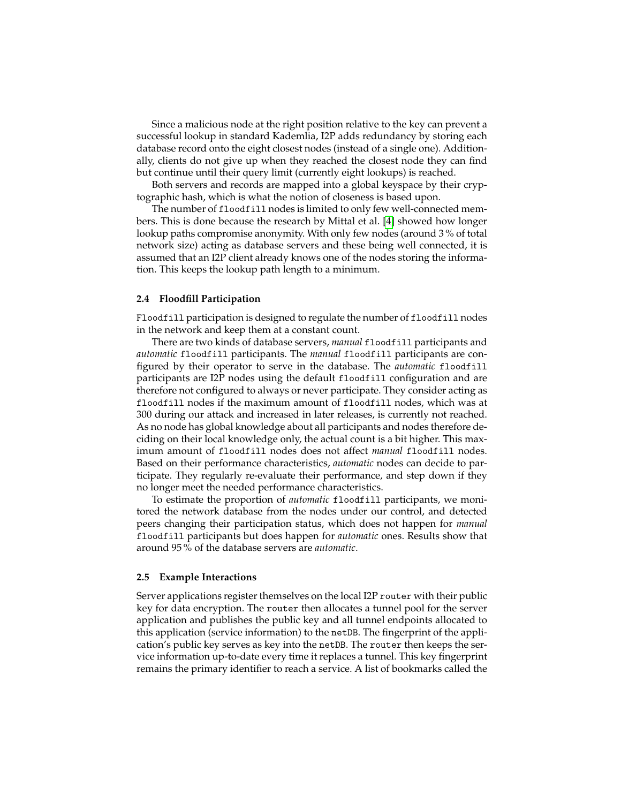Since a malicious node at the right position relative to the key can prevent a successful lookup in standard Kademlia, I2P adds redundancy by storing each database record onto the eight closest nodes (instead of a single one). Additionally, clients do not give up when they reached the closest node they can find but continue until their query limit (currently eight lookups) is reached.

Both servers and records are mapped into a global keyspace by their cryptographic hash, which is what the notion of closeness is based upon.

The number of floodfill nodes is limited to only few well-connected members. This is done because the research by Mittal et al. [\[4\]](#page-19-3) showed how longer lookup paths compromise anonymity. With only few nodes (around 3 % of total network size) acting as database servers and these being well connected, it is assumed that an I2P client already knows one of the nodes storing the information. This keeps the lookup path length to a minimum.

#### **2.4 Floodfill Participation**

Floodfill participation is designed to regulate the number of floodfill nodes in the network and keep them at a constant count.

There are two kinds of database servers, *manual* floodfill participants and *automatic* floodfill participants. The *manual* floodfill participants are configured by their operator to serve in the database. The *automatic* floodfill participants are I2P nodes using the default floodfill configuration and are therefore not configured to always or never participate. They consider acting as floodfill nodes if the maximum amount of floodfill nodes, which was at 300 during our attack and increased in later releases, is currently not reached. As no node has global knowledge about all participants and nodes therefore deciding on their local knowledge only, the actual count is a bit higher. This maximum amount of floodfill nodes does not affect *manual* floodfill nodes. Based on their performance characteristics, *automatic* nodes can decide to participate. They regularly re-evaluate their performance, and step down if they no longer meet the needed performance characteristics.

To estimate the proportion of *automatic* floodfill participants, we monitored the network database from the nodes under our control, and detected peers changing their participation status, which does not happen for *manual* floodfill participants but does happen for *automatic* ones. Results show that around 95 % of the database servers are *automatic*.

#### **2.5 Example Interactions**

Server applications register themselves on the local I2P router with their public key for data encryption. The router then allocates a tunnel pool for the server application and publishes the public key and all tunnel endpoints allocated to this application (service information) to the netDB. The fingerprint of the application's public key serves as key into the netDB. The router then keeps the service information up-to-date every time it replaces a tunnel. This key fingerprint remains the primary identifier to reach a service. A list of bookmarks called the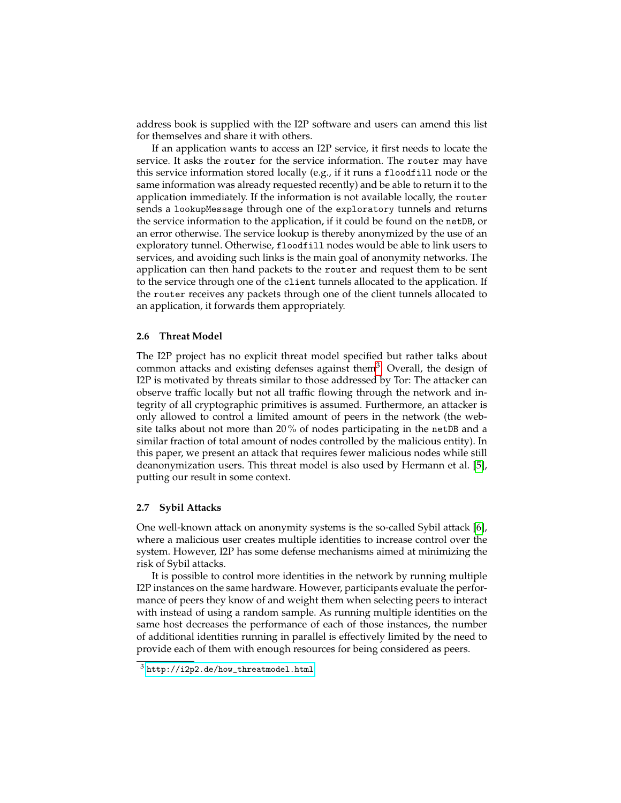address book is supplied with the I2P software and users can amend this list for themselves and share it with others.

If an application wants to access an I2P service, it first needs to locate the service. It asks the router for the service information. The router may have this service information stored locally (e.g., if it runs a floodfill node or the same information was already requested recently) and be able to return it to the application immediately. If the information is not available locally, the router sends a lookupMessage through one of the exploratory tunnels and returns the service information to the application, if it could be found on the netDB, or an error otherwise. The service lookup is thereby anonymized by the use of an exploratory tunnel. Otherwise, floodfill nodes would be able to link users to services, and avoiding such links is the main goal of anonymity networks. The application can then hand packets to the router and request them to be sent to the service through one of the client tunnels allocated to the application. If the router receives any packets through one of the client tunnels allocated to an application, it forwards them appropriately.

### **2.6 Threat Model**

The I2P project has no explicit threat model specified but rather talks about common attacks and existing defenses against them<sup>[3](#page-5-0)</sup>. Overall, the design of I2P is motivated by threats similar to those addressed by Tor: The attacker can observe traffic locally but not all traffic flowing through the network and integrity of all cryptographic primitives is assumed. Furthermore, an attacker is only allowed to control a limited amount of peers in the network (the website talks about not more than 20 % of nodes participating in the netDB and a similar fraction of total amount of nodes controlled by the malicious entity). In this paper, we present an attack that requires fewer malicious nodes while still deanonymization users. This threat model is also used by Hermann et al. [\[5\]](#page-19-4), putting our result in some context.

## **2.7 Sybil Attacks**

One well-known attack on anonymity systems is the so-called Sybil attack [\[6\]](#page-19-5), where a malicious user creates multiple identities to increase control over the system. However, I2P has some defense mechanisms aimed at minimizing the risk of Sybil attacks.

It is possible to control more identities in the network by running multiple I2P instances on the same hardware. However, participants evaluate the performance of peers they know of and weight them when selecting peers to interact with instead of using a random sample. As running multiple identities on the same host decreases the performance of each of those instances, the number of additional identities running in parallel is effectively limited by the need to provide each of them with enough resources for being considered as peers.

<span id="page-5-0"></span><sup>3</sup> [http://i2p2.de/how\\_threatmodel.html](http://i2p2.de/how_threatmodel.html)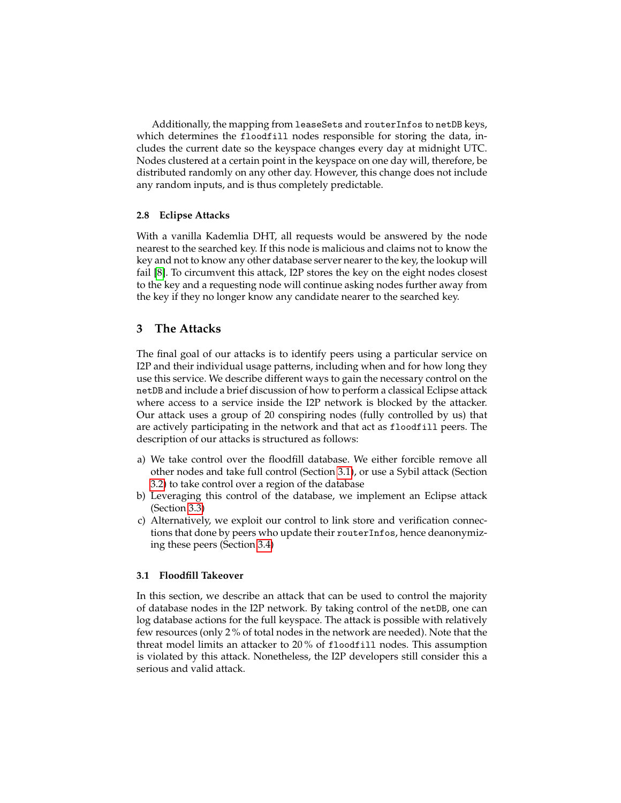Additionally, the mapping from leaseSets and routerInfos to netDB keys, which determines the floodfill nodes responsible for storing the data, includes the current date so the keyspace changes every day at midnight UTC. Nodes clustered at a certain point in the keyspace on one day will, therefore, be distributed randomly on any other day. However, this change does not include any random inputs, and is thus completely predictable.

## **2.8 Eclipse Attacks**

With a vanilla Kademlia DHT, all requests would be answered by the node nearest to the searched key. If this node is malicious and claims not to know the key and not to know any other database server nearer to the key, the lookup will fail [\[8\]](#page-19-7). To circumvent this attack, I2P stores the key on the eight nodes closest to the key and a requesting node will continue asking nodes further away from the key if they no longer know any candidate nearer to the searched key.

## **3 The Attacks**

The final goal of our attacks is to identify peers using a particular service on I2P and their individual usage patterns, including when and for how long they use this service. We describe different ways to gain the necessary control on the netDB and include a brief discussion of how to perform a classical Eclipse attack where access to a service inside the I2P network is blocked by the attacker. Our attack uses a group of 20 conspiring nodes (fully controlled by us) that are actively participating in the network and that act as floodfill peers. The description of our attacks is structured as follows:

- a) We take control over the floodfill database. We either forcible remove all other nodes and take full control (Section [3.1\)](#page-6-0), or use a Sybil attack (Section [3.2\)](#page-7-0) to take control over a region of the database
- b) Leveraging this control of the database, we implement an Eclipse attack (Section [3.3\)](#page-8-0)
- c) Alternatively, we exploit our control to link store and verification connections that done by peers who update their routerInfos, hence deanonymizing these peers (Section [3.4\)](#page-8-1)

## <span id="page-6-0"></span>**3.1 Floodfill Takeover**

In this section, we describe an attack that can be used to control the majority of database nodes in the I2P network. By taking control of the netDB, one can log database actions for the full keyspace. The attack is possible with relatively few resources (only 2 % of total nodes in the network are needed). Note that the threat model limits an attacker to 20 % of floodfill nodes. This assumption is violated by this attack. Nonetheless, the I2P developers still consider this a serious and valid attack.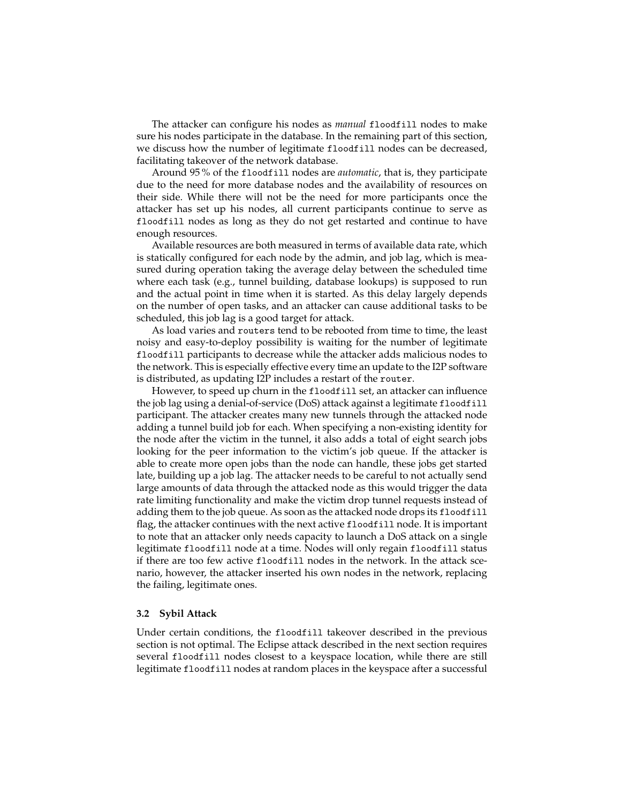The attacker can configure his nodes as *manual* floodfill nodes to make sure his nodes participate in the database. In the remaining part of this section, we discuss how the number of legitimate floodfill nodes can be decreased, facilitating takeover of the network database.

Around 95 % of the floodfill nodes are *automatic*, that is, they participate due to the need for more database nodes and the availability of resources on their side. While there will not be the need for more participants once the attacker has set up his nodes, all current participants continue to serve as floodfill nodes as long as they do not get restarted and continue to have enough resources.

Available resources are both measured in terms of available data rate, which is statically configured for each node by the admin, and job lag, which is measured during operation taking the average delay between the scheduled time where each task (e.g., tunnel building, database lookups) is supposed to run and the actual point in time when it is started. As this delay largely depends on the number of open tasks, and an attacker can cause additional tasks to be scheduled, this job lag is a good target for attack.

As load varies and routers tend to be rebooted from time to time, the least noisy and easy-to-deploy possibility is waiting for the number of legitimate floodfill participants to decrease while the attacker adds malicious nodes to the network. This is especially effective every time an update to the I2P software is distributed, as updating I2P includes a restart of the router.

However, to speed up churn in the floodfill set, an attacker can influence the job lag using a denial-of-service (DoS) attack against a legitimate floodfill participant. The attacker creates many new tunnels through the attacked node adding a tunnel build job for each. When specifying a non-existing identity for the node after the victim in the tunnel, it also adds a total of eight search jobs looking for the peer information to the victim's job queue. If the attacker is able to create more open jobs than the node can handle, these jobs get started late, building up a job lag. The attacker needs to be careful to not actually send large amounts of data through the attacked node as this would trigger the data rate limiting functionality and make the victim drop tunnel requests instead of adding them to the job queue. As soon as the attacked node drops its floodfill flag, the attacker continues with the next active floodfill node. It is important to note that an attacker only needs capacity to launch a DoS attack on a single legitimate floodfill node at a time. Nodes will only regain floodfill status if there are too few active floodfill nodes in the network. In the attack scenario, however, the attacker inserted his own nodes in the network, replacing the failing, legitimate ones.

### <span id="page-7-0"></span>**3.2 Sybil Attack**

Under certain conditions, the floodfill takeover described in the previous section is not optimal. The Eclipse attack described in the next section requires several floodfill nodes closest to a keyspace location, while there are still legitimate floodfill nodes at random places in the keyspace after a successful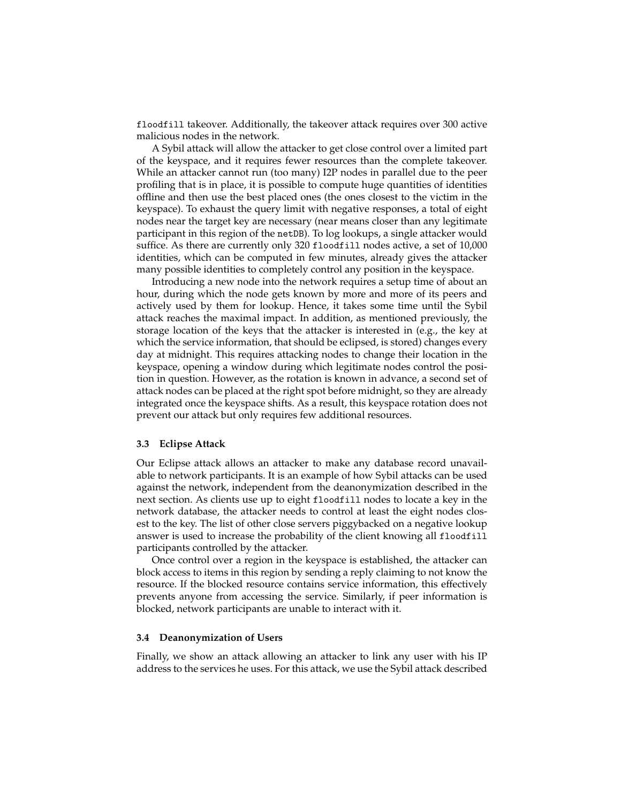floodfill takeover. Additionally, the takeover attack requires over 300 active malicious nodes in the network.

A Sybil attack will allow the attacker to get close control over a limited part of the keyspace, and it requires fewer resources than the complete takeover. While an attacker cannot run (too many) I2P nodes in parallel due to the peer profiling that is in place, it is possible to compute huge quantities of identities offline and then use the best placed ones (the ones closest to the victim in the keyspace). To exhaust the query limit with negative responses, a total of eight nodes near the target key are necessary (near means closer than any legitimate participant in this region of the netDB). To log lookups, a single attacker would suffice. As there are currently only 320 floodfill nodes active, a set of 10,000 identities, which can be computed in few minutes, already gives the attacker many possible identities to completely control any position in the keyspace.

Introducing a new node into the network requires a setup time of about an hour, during which the node gets known by more and more of its peers and actively used by them for lookup. Hence, it takes some time until the Sybil attack reaches the maximal impact. In addition, as mentioned previously, the storage location of the keys that the attacker is interested in (e.g., the key at which the service information, that should be eclipsed, is stored) changes every day at midnight. This requires attacking nodes to change their location in the keyspace, opening a window during which legitimate nodes control the position in question. However, as the rotation is known in advance, a second set of attack nodes can be placed at the right spot before midnight, so they are already integrated once the keyspace shifts. As a result, this keyspace rotation does not prevent our attack but only requires few additional resources.

#### <span id="page-8-0"></span>**3.3 Eclipse Attack**

Our Eclipse attack allows an attacker to make any database record unavailable to network participants. It is an example of how Sybil attacks can be used against the network, independent from the deanonymization described in the next section. As clients use up to eight floodfill nodes to locate a key in the network database, the attacker needs to control at least the eight nodes closest to the key. The list of other close servers piggybacked on a negative lookup answer is used to increase the probability of the client knowing all floodfill participants controlled by the attacker.

Once control over a region in the keyspace is established, the attacker can block access to items in this region by sending a reply claiming to not know the resource. If the blocked resource contains service information, this effectively prevents anyone from accessing the service. Similarly, if peer information is blocked, network participants are unable to interact with it.

#### <span id="page-8-1"></span>**3.4 Deanonymization of Users**

Finally, we show an attack allowing an attacker to link any user with his IP address to the services he uses. For this attack, we use the Sybil attack described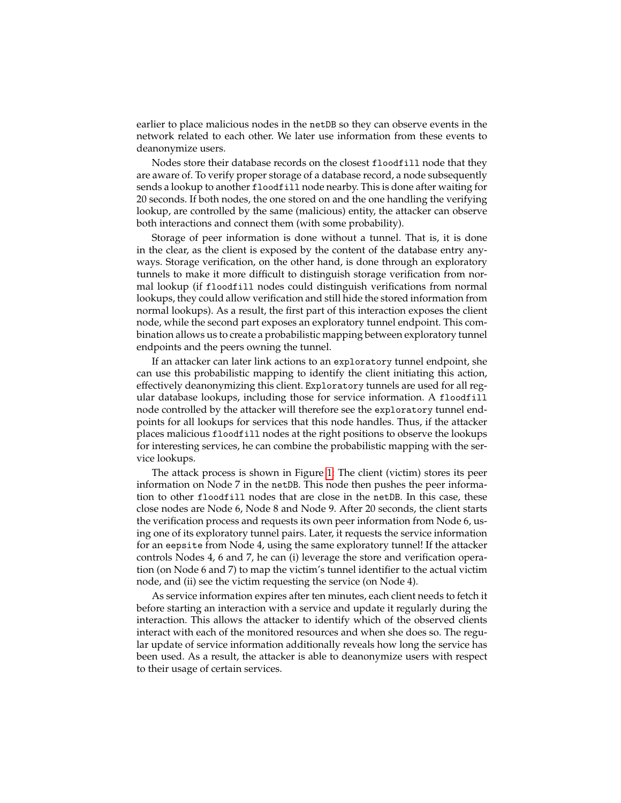earlier to place malicious nodes in the netDB so they can observe events in the network related to each other. We later use information from these events to deanonymize users.

Nodes store their database records on the closest floodfill node that they are aware of. To verify proper storage of a database record, a node subsequently sends a lookup to another floodfill node nearby. This is done after waiting for 20 seconds. If both nodes, the one stored on and the one handling the verifying lookup, are controlled by the same (malicious) entity, the attacker can observe both interactions and connect them (with some probability).

Storage of peer information is done without a tunnel. That is, it is done in the clear, as the client is exposed by the content of the database entry anyways. Storage verification, on the other hand, is done through an exploratory tunnels to make it more difficult to distinguish storage verification from normal lookup (if floodfill nodes could distinguish verifications from normal lookups, they could allow verification and still hide the stored information from normal lookups). As a result, the first part of this interaction exposes the client node, while the second part exposes an exploratory tunnel endpoint. This combination allows us to create a probabilistic mapping between exploratory tunnel endpoints and the peers owning the tunnel.

If an attacker can later link actions to an exploratory tunnel endpoint, she can use this probabilistic mapping to identify the client initiating this action, effectively deanonymizing this client. Exploratory tunnels are used for all regular database lookups, including those for service information. A floodfill node controlled by the attacker will therefore see the exploratory tunnel endpoints for all lookups for services that this node handles. Thus, if the attacker places malicious floodfill nodes at the right positions to observe the lookups for interesting services, he can combine the probabilistic mapping with the service lookups.

The attack process is shown in Figure [1:](#page-10-0) The client (victim) stores its peer information on Node 7 in the netDB. This node then pushes the peer information to other floodfill nodes that are close in the netDB. In this case, these close nodes are Node 6, Node 8 and Node 9. After 20 seconds, the client starts the verification process and requests its own peer information from Node 6, using one of its exploratory tunnel pairs. Later, it requests the service information for an eepsite from Node 4, using the same exploratory tunnel! If the attacker controls Nodes 4, 6 and 7, he can (i) leverage the store and verification operation (on Node 6 and 7) to map the victim's tunnel identifier to the actual victim node, and (ii) see the victim requesting the service (on Node 4).

As service information expires after ten minutes, each client needs to fetch it before starting an interaction with a service and update it regularly during the interaction. This allows the attacker to identify which of the observed clients interact with each of the monitored resources and when she does so. The regular update of service information additionally reveals how long the service has been used. As a result, the attacker is able to deanonymize users with respect to their usage of certain services.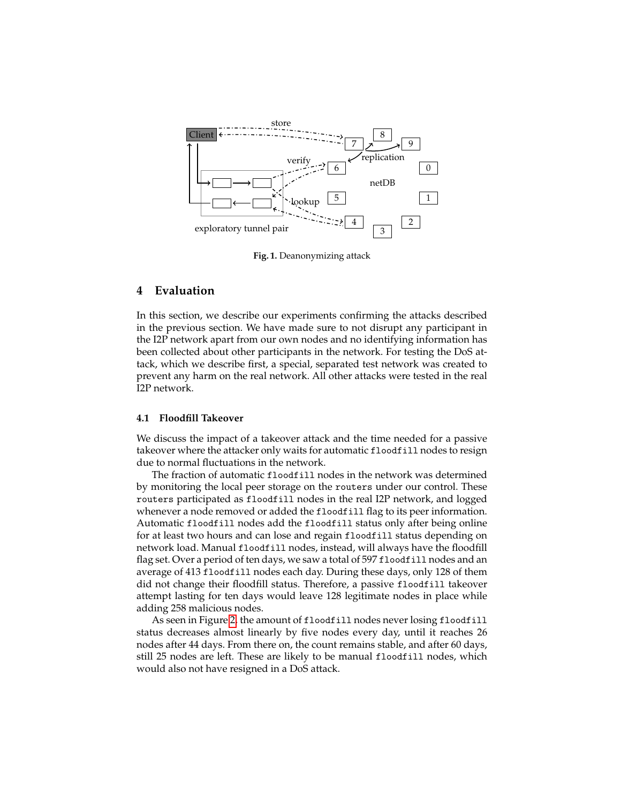

<span id="page-10-0"></span>**Fig. 1.** Deanonymizing attack

## **4 Evaluation**

In this section, we describe our experiments confirming the attacks described in the previous section. We have made sure to not disrupt any participant in the I2P network apart from our own nodes and no identifying information has been collected about other participants in the network. For testing the DoS attack, which we describe first, a special, separated test network was created to prevent any harm on the real network. All other attacks were tested in the real I2P network.

#### **4.1 Floodfill Takeover**

We discuss the impact of a takeover attack and the time needed for a passive takeover where the attacker only waits for automatic floodfill nodes to resign due to normal fluctuations in the network.

The fraction of automatic floodfill nodes in the network was determined by monitoring the local peer storage on the routers under our control. These routers participated as floodfill nodes in the real I2P network, and logged whenever a node removed or added the floodfill flag to its peer information. Automatic floodfill nodes add the floodfill status only after being online for at least two hours and can lose and regain floodfill status depending on network load. Manual floodfill nodes, instead, will always have the floodfill flag set. Over a period of ten days, we saw a total of 597 floodfill nodes and an average of 413 floodfill nodes each day. During these days, only 128 of them did not change their floodfill status. Therefore, a passive floodfill takeover attempt lasting for ten days would leave 128 legitimate nodes in place while adding 258 malicious nodes.

As seen in Figure [2,](#page-11-0) the amount of floodfill nodes never losing floodfill status decreases almost linearly by five nodes every day, until it reaches 26 nodes after 44 days. From there on, the count remains stable, and after 60 days, still 25 nodes are left. These are likely to be manual floodfill nodes, which would also not have resigned in a DoS attack.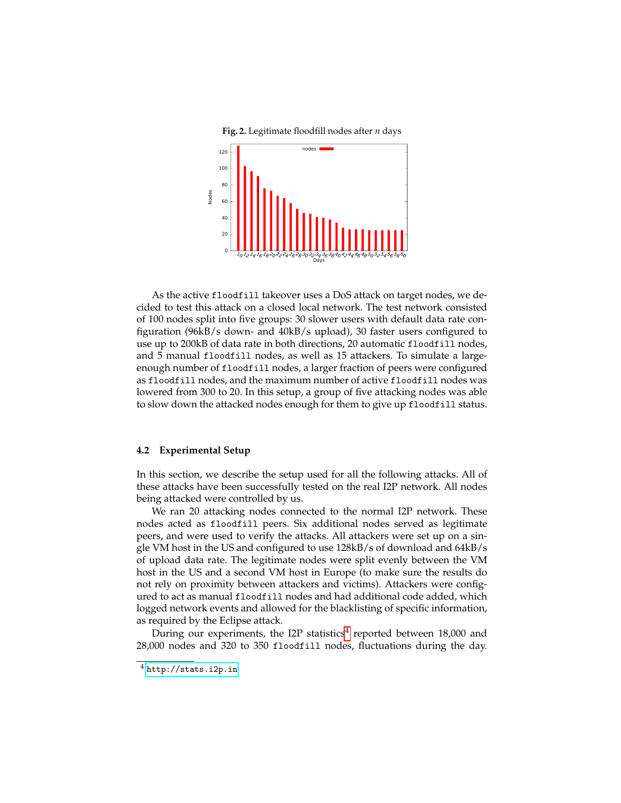

<span id="page-11-0"></span>**Fig. 2.** Legitimate floodfill nodes after *n* days

As the active floodfill takeover uses a DoS attack on target nodes, we decided to test this attack on a closed local network. The test network consisted of 100 nodes split into five groups: 30 slower users with default data rate configuration (96kB/s down- and 40kB/s upload), 30 faster users configured to use up to 200kB of data rate in both directions, 20 automatic floodfill nodes, and 5 manual floodfill nodes, as well as 15 attackers. To simulate a largeenough number of floodfill nodes, a larger fraction of peers were configured as floodfill nodes, and the maximum number of active floodfill nodes was lowered from 300 to 20. In this setup, a group of five attacking nodes was able to slow down the attacked nodes enough for them to give up floodfill status.

#### **4.2 Experimental Setup**

In this section, we describe the setup used for all the following attacks. All of these attacks have been successfully tested on the real I2P network. All nodes being attacked were controlled by us.

We ran 20 attacking nodes connected to the normal I2P network. These nodes acted as floodfill peers. Six additional nodes served as legitimate peers, and were used to verify the attacks. All attackers were set up on a single VM host in the US and configured to use 128kB/s of download and 64kB/s of upload data rate. The legitimate nodes were split evenly between the VM host in the US and a second VM host in Europe (to make sure the results do not rely on proximity between attackers and victims). Attackers were configured to act as manual floodfill nodes and had additional code added, which logged network events and allowed for the blacklisting of specific information, as required by the Eclipse attack.

During our experiments, the I2P statistics $^4$  $^4$  reported between 18,000 and 28,000 nodes and 320 to 350 floodfill nodes, fluctuations during the day.

<span id="page-11-1"></span><sup>4</sup> <http://stats.i2p.in>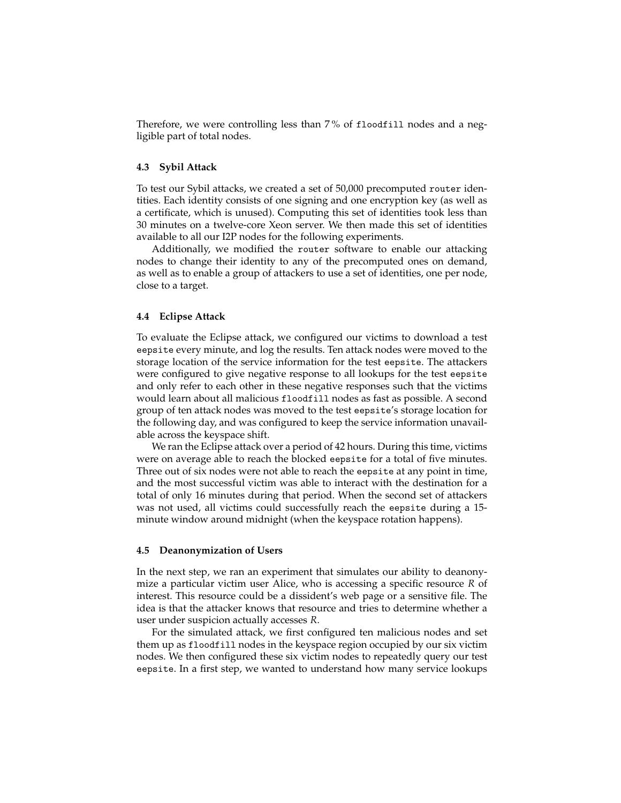Therefore, we were controlling less than 7 % of floodfill nodes and a negligible part of total nodes.

## **4.3 Sybil Attack**

To test our Sybil attacks, we created a set of 50,000 precomputed router identities. Each identity consists of one signing and one encryption key (as well as a certificate, which is unused). Computing this set of identities took less than 30 minutes on a twelve-core Xeon server. We then made this set of identities available to all our I2P nodes for the following experiments.

Additionally, we modified the router software to enable our attacking nodes to change their identity to any of the precomputed ones on demand, as well as to enable a group of attackers to use a set of identities, one per node, close to a target.

## **4.4 Eclipse Attack**

To evaluate the Eclipse attack, we configured our victims to download a test eepsite every minute, and log the results. Ten attack nodes were moved to the storage location of the service information for the test eepsite. The attackers were configured to give negative response to all lookups for the test eepsite and only refer to each other in these negative responses such that the victims would learn about all malicious floodfill nodes as fast as possible. A second group of ten attack nodes was moved to the test eepsite's storage location for the following day, and was configured to keep the service information unavailable across the keyspace shift.

We ran the Eclipse attack over a period of 42 hours. During this time, victims were on average able to reach the blocked eepsite for a total of five minutes. Three out of six nodes were not able to reach the eepsite at any point in time, and the most successful victim was able to interact with the destination for a total of only 16 minutes during that period. When the second set of attackers was not used, all victims could successfully reach the eepsite during a 15 minute window around midnight (when the keyspace rotation happens).

#### **4.5 Deanonymization of Users**

In the next step, we ran an experiment that simulates our ability to deanonymize a particular victim user Alice, who is accessing a specific resource *R* of interest. This resource could be a dissident's web page or a sensitive file. The idea is that the attacker knows that resource and tries to determine whether a user under suspicion actually accesses *R*.

For the simulated attack, we first configured ten malicious nodes and set them up as floodfill nodes in the keyspace region occupied by our six victim nodes. We then configured these six victim nodes to repeatedly query our test eepsite. In a first step, we wanted to understand how many service lookups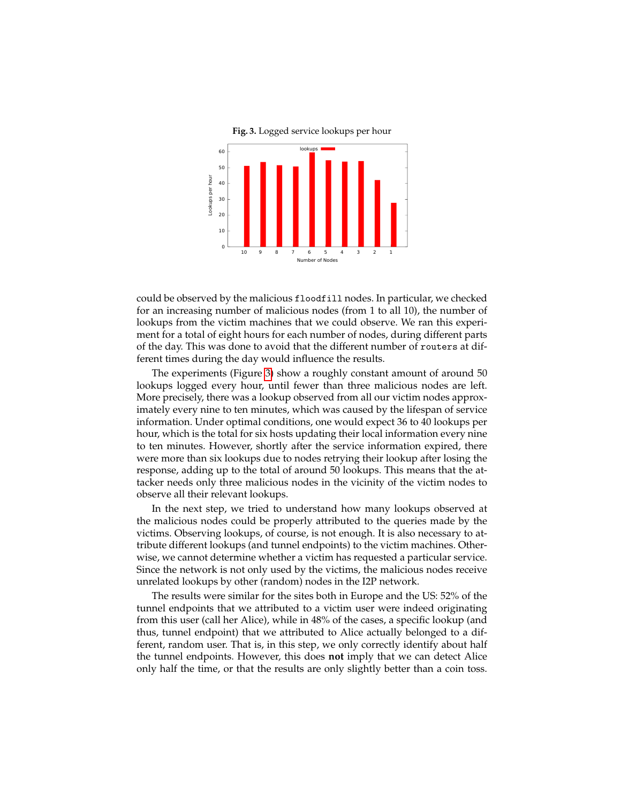<span id="page-13-0"></span>

could be observed by the malicious floodfill nodes. In particular, we checked for an increasing number of malicious nodes (from 1 to all 10), the number of lookups from the victim machines that we could observe. We ran this experiment for a total of eight hours for each number of nodes, during different parts of the day. This was done to avoid that the different number of routers at different times during the day would influence the results.

The experiments (Figure [3\)](#page-13-0) show a roughly constant amount of around 50 lookups logged every hour, until fewer than three malicious nodes are left. More precisely, there was a lookup observed from all our victim nodes approximately every nine to ten minutes, which was caused by the lifespan of service information. Under optimal conditions, one would expect 36 to 40 lookups per hour, which is the total for six hosts updating their local information every nine to ten minutes. However, shortly after the service information expired, there were more than six lookups due to nodes retrying their lookup after losing the response, adding up to the total of around 50 lookups. This means that the attacker needs only three malicious nodes in the vicinity of the victim nodes to observe all their relevant lookups.

In the next step, we tried to understand how many lookups observed at the malicious nodes could be properly attributed to the queries made by the victims. Observing lookups, of course, is not enough. It is also necessary to attribute different lookups (and tunnel endpoints) to the victim machines. Otherwise, we cannot determine whether a victim has requested a particular service. Since the network is not only used by the victims, the malicious nodes receive unrelated lookups by other (random) nodes in the I2P network.

The results were similar for the sites both in Europe and the US: 52% of the tunnel endpoints that we attributed to a victim user were indeed originating from this user (call her Alice), while in 48% of the cases, a specific lookup (and thus, tunnel endpoint) that we attributed to Alice actually belonged to a different, random user. That is, in this step, we only correctly identify about half the tunnel endpoints. However, this does **not** imply that we can detect Alice only half the time, or that the results are only slightly better than a coin toss.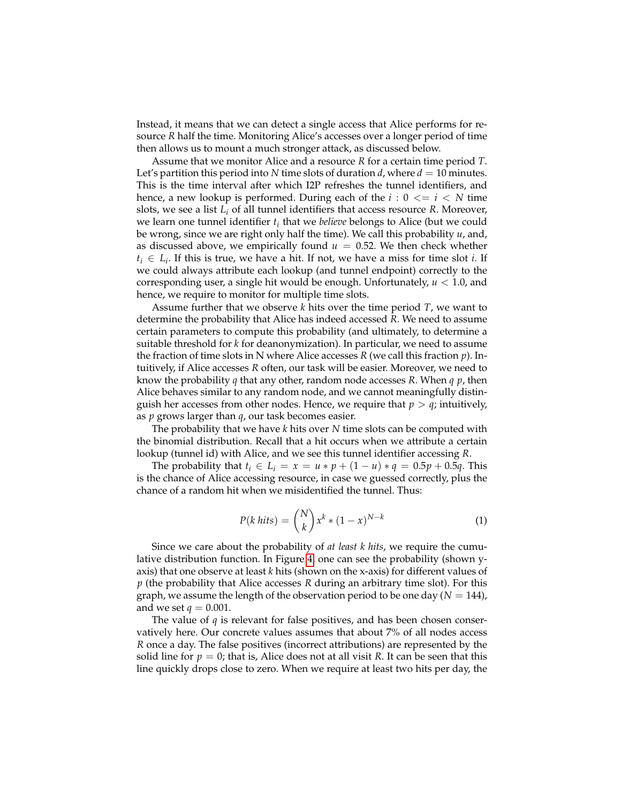Instead, it means that we can detect a single access that Alice performs for resource *R* half the time. Monitoring Alice's accesses over a longer period of time then allows us to mount a much stronger attack, as discussed below.

Assume that we monitor Alice and a resource *R* for a certain time period *T*. Let's partition this period into *N* time slots of duration *d*, where  $d = 10$  minutes. This is the time interval after which I2P refreshes the tunnel identifiers, and hence, a new lookup is performed. During each of the  $i: 0 \le i \le N$  time slots, we see a list *L<sup>i</sup>* of all tunnel identifiers that access resource *R*. Moreover, we learn one tunnel identifier *t<sup>i</sup>* that we *believe* belongs to Alice (but we could be wrong, since we are right only half the time). We call this probability *u*, and, as discussed above, we empirically found  $u = 0.52$ . We then check whether  $t_i \in L_i$ . If this is true, we have a hit. If not, we have a miss for time slot *i*. If we could always attribute each lookup (and tunnel endpoint) correctly to the corresponding user, a single hit would be enough. Unfortunately, *u* < 1.0, and hence, we require to monitor for multiple time slots.

Assume further that we observe *k* hits over the time period *T*, we want to determine the probability that Alice has indeed accessed *R*. We need to assume certain parameters to compute this probability (and ultimately, to determine a suitable threshold for *k* for deanonymization). In particular, we need to assume the fraction of time slots in N where Alice accesses *R* (we call this fraction *p*). Intuitively, if Alice accesses *R* often, our task will be easier. Moreover, we need to know the probability *q* that any other, random node accesses *R*. When *q p*, then Alice behaves similar to any random node, and we cannot meaningfully distinguish her accesses from other nodes. Hence, we require that  $p > q$ ; intuitively, as *p* grows larger than *q*, our task becomes easier.

The probability that we have *k* hits over *N* time slots can be computed with the binomial distribution. Recall that a hit occurs when we attribute a certain lookup (tunnel id) with Alice, and we see this tunnel identifier accessing *R*.

The probability that *t*<sup>*i*</sup> ∈ *L*<sup>*i*</sup> = *x* = *u* ∗ *p* + (1 − *u*) ∗ *q* = 0.5*p* + 0.5*q*. This is the chance of Alice accessing resource, in case we guessed correctly, plus the chance of a random hit when we misidentified the tunnel. Thus:

$$
P(k\; hits) = \binom{N}{k} x^k * (1-x)^{N-k} \tag{1}
$$

Since we care about the probability of *at least k hits*, we require the cumulative distribution function. In Figure [4,](#page-15-0) one can see the probability (shown yaxis) that one observe at least *k* hits (shown on the x-axis) for different values of *p* (the probability that Alice accesses *R* during an arbitrary time slot). For this graph, we assume the length of the observation period to be one day  $(N = 144)$ , and we set  $q = 0.001$ .

The value of  $q$  is relevant for false positives, and has been chosen conservatively here. Our concrete values assumes that about 7% of all nodes access *R* once a day. The false positives (incorrect attributions) are represented by the solid line for  $p = 0$ ; that is, Alice does not at all visit *R*. It can be seen that this line quickly drops close to zero. When we require at least two hits per day, the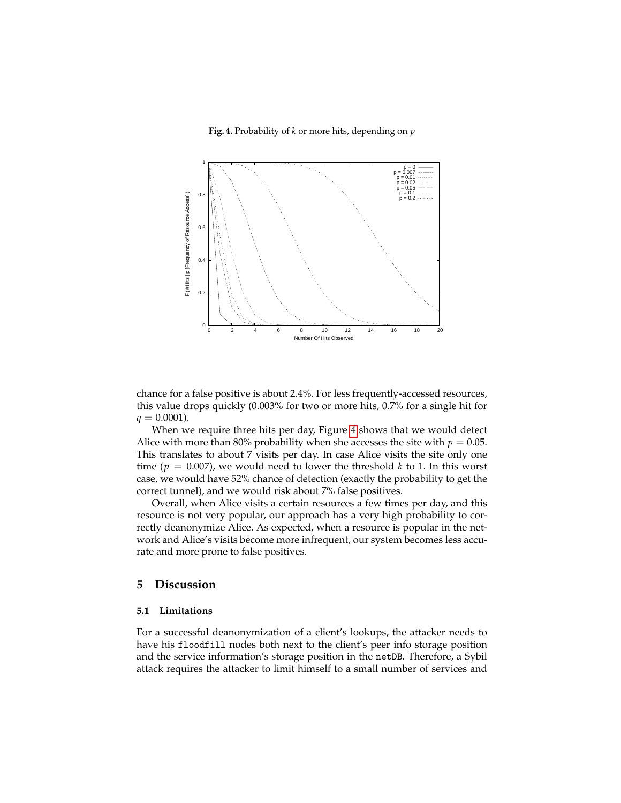<span id="page-15-0"></span>

chance for a false positive is about 2.4%. For less frequently-accessed resources, this value drops quickly (0.003% for two or more hits, 0.7% for a single hit for  $q = 0.0001$ ).

When we require three hits per day, Figure [4](#page-15-0) shows that we would detect Alice with more than 80% probability when she accesses the site with  $p = 0.05$ . This translates to about 7 visits per day. In case Alice visits the site only one time ( $p = 0.007$ ), we would need to lower the threshold  $k$  to 1. In this worst case, we would have 52% chance of detection (exactly the probability to get the correct tunnel), and we would risk about 7% false positives.

Overall, when Alice visits a certain resources a few times per day, and this resource is not very popular, our approach has a very high probability to correctly deanonymize Alice. As expected, when a resource is popular in the network and Alice's visits become more infrequent, our system becomes less accurate and more prone to false positives.

## **5 Discussion**

#### **5.1 Limitations**

For a successful deanonymization of a client's lookups, the attacker needs to have his floodfill nodes both next to the client's peer info storage position and the service information's storage position in the netDB. Therefore, a Sybil attack requires the attacker to limit himself to a small number of services and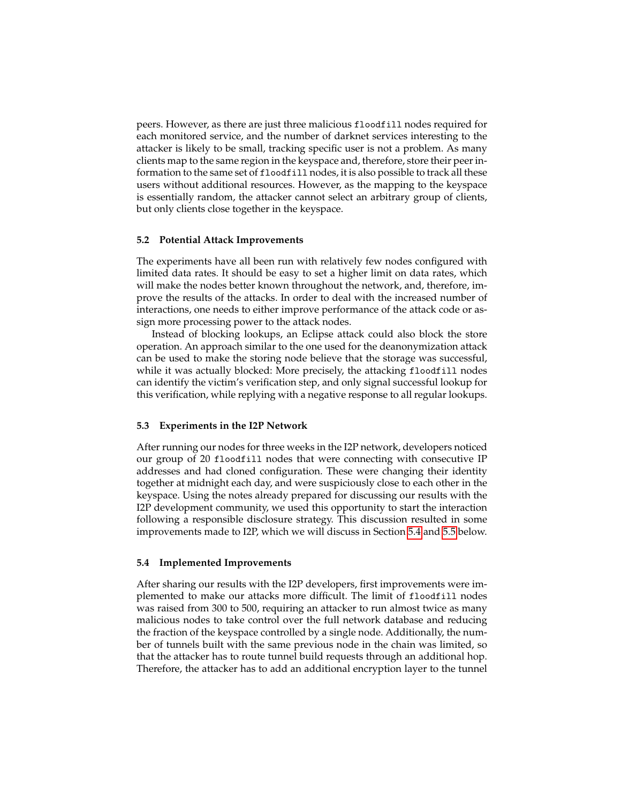peers. However, as there are just three malicious floodfill nodes required for each monitored service, and the number of darknet services interesting to the attacker is likely to be small, tracking specific user is not a problem. As many clients map to the same region in the keyspace and, therefore, store their peer information to the same set of floodfill nodes, it is also possible to track all these users without additional resources. However, as the mapping to the keyspace is essentially random, the attacker cannot select an arbitrary group of clients, but only clients close together in the keyspace.

#### **5.2 Potential Attack Improvements**

The experiments have all been run with relatively few nodes configured with limited data rates. It should be easy to set a higher limit on data rates, which will make the nodes better known throughout the network, and, therefore, improve the results of the attacks. In order to deal with the increased number of interactions, one needs to either improve performance of the attack code or assign more processing power to the attack nodes.

Instead of blocking lookups, an Eclipse attack could also block the store operation. An approach similar to the one used for the deanonymization attack can be used to make the storing node believe that the storage was successful, while it was actually blocked: More precisely, the attacking floodfill nodes can identify the victim's verification step, and only signal successful lookup for this verification, while replying with a negative response to all regular lookups.

### **5.3 Experiments in the I2P Network**

After running our nodes for three weeks in the I2P network, developers noticed our group of 20 floodfill nodes that were connecting with consecutive IP addresses and had cloned configuration. These were changing their identity together at midnight each day, and were suspiciously close to each other in the keyspace. Using the notes already prepared for discussing our results with the I2P development community, we used this opportunity to start the interaction following a responsible disclosure strategy. This discussion resulted in some improvements made to I2P, which we will discuss in Section [5.4](#page-16-0) and [5.5](#page-17-0) below.

### <span id="page-16-0"></span>**5.4 Implemented Improvements**

After sharing our results with the I2P developers, first improvements were implemented to make our attacks more difficult. The limit of floodfill nodes was raised from 300 to 500, requiring an attacker to run almost twice as many malicious nodes to take control over the full network database and reducing the fraction of the keyspace controlled by a single node. Additionally, the number of tunnels built with the same previous node in the chain was limited, so that the attacker has to route tunnel build requests through an additional hop. Therefore, the attacker has to add an additional encryption layer to the tunnel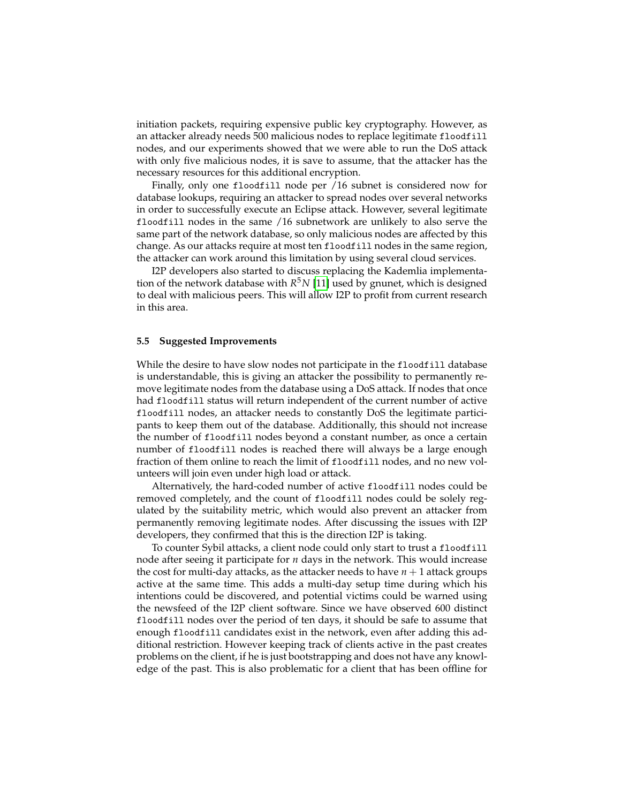initiation packets, requiring expensive public key cryptography. However, as an attacker already needs 500 malicious nodes to replace legitimate floodfill nodes, and our experiments showed that we were able to run the DoS attack with only five malicious nodes, it is save to assume, that the attacker has the necessary resources for this additional encryption.

Finally, only one floodfill node per /16 subnet is considered now for database lookups, requiring an attacker to spread nodes over several networks in order to successfully execute an Eclipse attack. However, several legitimate floodfill nodes in the same /16 subnetwork are unlikely to also serve the same part of the network database, so only malicious nodes are affected by this change. As our attacks require at most ten floodfill nodes in the same region, the attacker can work around this limitation by using several cloud services.

I2P developers also started to discuss replacing the Kademlia implementation of the network database with *R* <sup>5</sup>*N* [\[11\]](#page-19-10) used by gnunet, which is designed to deal with malicious peers. This will allow I2P to profit from current research in this area.

#### <span id="page-17-0"></span>**5.5 Suggested Improvements**

While the desire to have slow nodes not participate in the floodfill database is understandable, this is giving an attacker the possibility to permanently remove legitimate nodes from the database using a DoS attack. If nodes that once had floodfill status will return independent of the current number of active floodfill nodes, an attacker needs to constantly DoS the legitimate participants to keep them out of the database. Additionally, this should not increase the number of floodfill nodes beyond a constant number, as once a certain number of floodfill nodes is reached there will always be a large enough fraction of them online to reach the limit of floodfill nodes, and no new volunteers will join even under high load or attack.

Alternatively, the hard-coded number of active floodfill nodes could be removed completely, and the count of floodfill nodes could be solely regulated by the suitability metric, which would also prevent an attacker from permanently removing legitimate nodes. After discussing the issues with I2P developers, they confirmed that this is the direction I2P is taking.

To counter Sybil attacks, a client node could only start to trust a floodfill node after seeing it participate for *n* days in the network. This would increase the cost for multi-day attacks, as the attacker needs to have  $n + 1$  attack groups active at the same time. This adds a multi-day setup time during which his intentions could be discovered, and potential victims could be warned using the newsfeed of the I2P client software. Since we have observed 600 distinct floodfill nodes over the period of ten days, it should be safe to assume that enough floodfill candidates exist in the network, even after adding this additional restriction. However keeping track of clients active in the past creates problems on the client, if he is just bootstrapping and does not have any knowledge of the past. This is also problematic for a client that has been offline for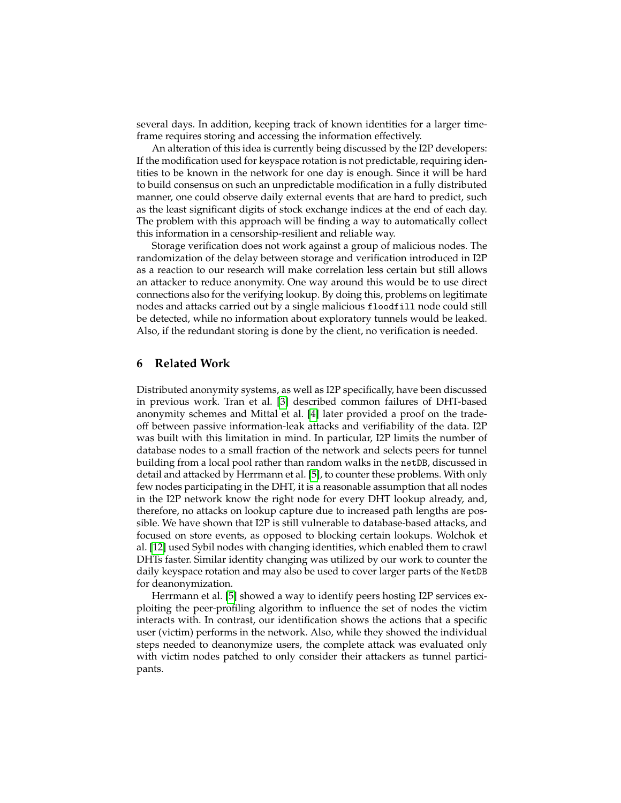several days. In addition, keeping track of known identities for a larger timeframe requires storing and accessing the information effectively.

An alteration of this idea is currently being discussed by the I2P developers: If the modification used for keyspace rotation is not predictable, requiring identities to be known in the network for one day is enough. Since it will be hard to build consensus on such an unpredictable modification in a fully distributed manner, one could observe daily external events that are hard to predict, such as the least significant digits of stock exchange indices at the end of each day. The problem with this approach will be finding a way to automatically collect this information in a censorship-resilient and reliable way.

Storage verification does not work against a group of malicious nodes. The randomization of the delay between storage and verification introduced in I2P as a reaction to our research will make correlation less certain but still allows an attacker to reduce anonymity. One way around this would be to use direct connections also for the verifying lookup. By doing this, problems on legitimate nodes and attacks carried out by a single malicious floodfill node could still be detected, while no information about exploratory tunnels would be leaked. Also, if the redundant storing is done by the client, no verification is needed.

## **6 Related Work**

Distributed anonymity systems, as well as I2P specifically, have been discussed in previous work. Tran et al. [\[3\]](#page-19-2) described common failures of DHT-based anonymity schemes and Mittal et al. [\[4\]](#page-19-3) later provided a proof on the tradeoff between passive information-leak attacks and verifiability of the data. I2P was built with this limitation in mind. In particular, I2P limits the number of database nodes to a small fraction of the network and selects peers for tunnel building from a local pool rather than random walks in the netDB, discussed in detail and attacked by Herrmann et al. [\[5\]](#page-19-4), to counter these problems. With only few nodes participating in the DHT, it is a reasonable assumption that all nodes in the I2P network know the right node for every DHT lookup already, and, therefore, no attacks on lookup capture due to increased path lengths are possible. We have shown that I2P is still vulnerable to database-based attacks, and focused on store events, as opposed to blocking certain lookups. Wolchok et al. [\[12\]](#page-19-11) used Sybil nodes with changing identities, which enabled them to crawl DHTs faster. Similar identity changing was utilized by our work to counter the daily keyspace rotation and may also be used to cover larger parts of the NetDB for deanonymization.

Herrmann et al. [\[5\]](#page-19-4) showed a way to identify peers hosting I2P services exploiting the peer-profiling algorithm to influence the set of nodes the victim interacts with. In contrast, our identification shows the actions that a specific user (victim) performs in the network. Also, while they showed the individual steps needed to deanonymize users, the complete attack was evaluated only with victim nodes patched to only consider their attackers as tunnel participants.